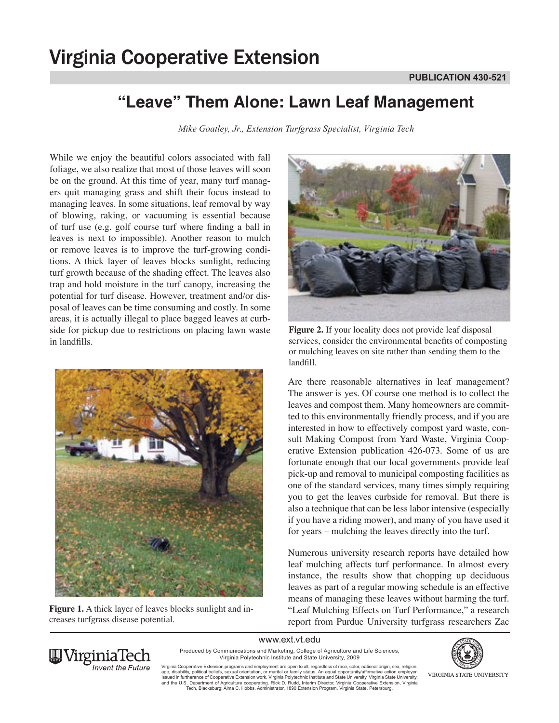## **"Leave" Them Alone: Lawn Leaf Management**

*Mike Goatley, Jr., Extension Turfgrass Specialist, Virginia Tech*

While we enjoy the beautiful colors associated with fall foliage, we also realize that most of those leaves will soon be on the ground. At this time of year, many turf managers quit managing grass and shift their focus instead to managing leaves. In some situations, leaf removal by way of blowing, raking, or vacuuming is essential because of turf use (e.g. golf course turf where finding a ball in leaves is next to impossible). Another reason to mulch or remove leaves is to improve the turf-growing conditions. A thick layer of leaves blocks sunlight, reducing turf growth because of the shading effect. The leaves also trap and hold moisture in the turf canopy, increasing the potential for turf disease. However, treatment and/or disposal of leaves can be time consuming and costly. In some areas, it is actually illegal to place bagged leaves at curbside for pickup due to restrictions on placing lawn waste in landfills.



**Figure 1.** A thick layer of leaves blocks sunlight and increases turfgrass disease potential.



**Figure 2.** If your locality does not provide leaf disposal services, consider the environmental benefits of composting or mulching leaves on site rather than sending them to the landfill.

Are there reasonable alternatives in leaf management? The answer is yes. Of course one method is to collect the leaves and compost them. Many homeowners are committed to this environmentally friendly process, and if you are interested in how to effectively compost yard waste, consult Making Compost from Yard Waste, Virginia Cooperative Extension publication 426-073. Some of us are fortunate enough that our local governments provide leaf pick-up and removal to municipal composting facilities as one of the standard services, many times simply requiring you to get the leaves curbside for removal. But there is also a technique that can be less labor intensive (especially if you have a riding mower), and many of you have used it for years – mulching the leaves directly into the turf.

Numerous university research reports have detailed how leaf mulching affects turf performance. In almost every instance, the results show that chopping up deciduous leaves as part of a regular mowing schedule is an effective means of managing these leaves without harming the turf. "Leaf Mulching Effects on Turf Performance," a research report from Purdue University turfgrass researchers Zac

www.ext.vt.edu



Produced by Communications and Marketing, College of Agriculture and Life Sciences, Virginia Polytechnic Institute and State University, 2009

Virginia Cooperative Extension programs and employment are open to all, regardless of race, color, national origin, sex, religion,<br>age, disability, political beliefs, sexual orientation, or marital or family status. An equ and the U.S. Department of Agriculture cooperating. RIck D. Rudd, Interim Director, Virginia Cooperative Extension, Virginia<br>Tech, Blacksburg; Alma C. Hobbs, Administrator, 1890 Extension Program, Virginia State, Petersbur